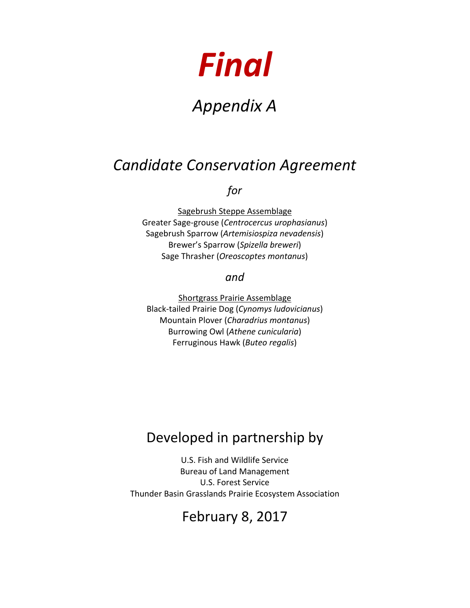# *Final*

# *Appendix A*

# *Candidate Conservation Agreement*

*for*

Sagebrush Steppe Assemblage Greater Sage-grouse (*Centrocercus urophasianus*) Sagebrush Sparrow (*Artemisiospiza nevadensis*) Brewer's Sparrow (*Spizella breweri*) Sage Thrasher (*Oreoscoptes montanus*)

*and*

Shortgrass Prairie Assemblage Black-tailed Prairie Dog (*Cynomys ludovicianus*) Mountain Plover (*Charadrius montanus*) Burrowing Owl (*Athene cunicularia*) Ferruginous Hawk (*Buteo regalis*)

# Developed in partnership by

U.S. Fish and Wildlife Service Bureau of Land Management U.S. Forest Service Thunder Basin Grasslands Prairie Ecosystem Association

# February 8, 2017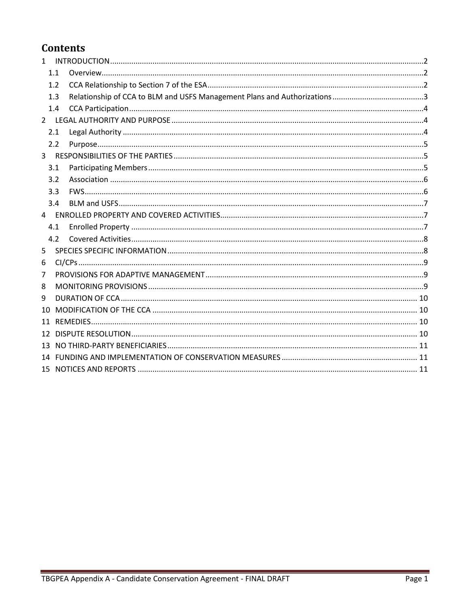# **Contents**

| $\mathbf{1}$ |     |  |
|--------------|-----|--|
|              | 1.1 |  |
|              | 1.2 |  |
|              | 1.3 |  |
|              | 1.4 |  |
|              |     |  |
|              | 2.1 |  |
|              | 2.2 |  |
| 3            |     |  |
|              | 3.1 |  |
|              | 3.2 |  |
|              | 3.3 |  |
|              | 3.4 |  |
| 4            |     |  |
|              | 4.1 |  |
|              | 4.2 |  |
| 5            |     |  |
| 6            |     |  |
| 7            |     |  |
| 8            |     |  |
| 9            |     |  |
| 10           |     |  |
| 11           |     |  |
| 12           |     |  |
|              |     |  |
|              |     |  |
|              |     |  |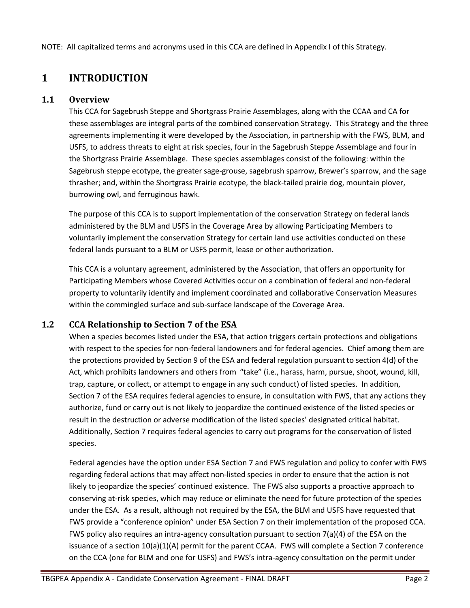NOTE: All capitalized terms and acronyms used in this CCA are defined in Appendix I of this Strategy.

# <span id="page-2-0"></span>**1 INTRODUCTION**

#### **1.1 Overview**

<span id="page-2-1"></span>This CCA for Sagebrush Steppe and Shortgrass Prairie Assemblages, along with the CCAA and CA for these assemblages are integral parts of the combined conservation Strategy. This Strategy and the three agreements implementing it were developed by the Association, in partnership with the FWS, BLM, and USFS, to address threats to eight at risk species, four in the Sagebrush Steppe Assemblage and four in the Shortgrass Prairie Assemblage. These species assemblages consist of the following: within the Sagebrush steppe ecotype, the greater sage-grouse, sagebrush sparrow, Brewer's sparrow, and the sage thrasher; and, within the Shortgrass Prairie ecotype, the black-tailed prairie dog, mountain plover, burrowing owl, and ferruginous hawk.

The purpose of this CCA is to support implementation of the conservation Strategy on federal lands administered by the BLM and USFS in the Coverage Area by allowing Participating Members to voluntarily implement the conservation Strategy for certain land use activities conducted on these federal lands pursuant to a BLM or USFS permit, lease or other authorization.

This CCA is a voluntary agreement, administered by the Association, that offers an opportunity for Participating Members whose Covered Activities occur on a combination of federal and non-federal property to voluntarily identify and implement coordinated and collaborative Conservation Measures within the commingled surface and sub-surface landscape of the Coverage Area.

#### **1.2 CCA Relationship to Section 7 of the ESA**

<span id="page-2-2"></span>When a species becomes listed under the ESA, that action triggers certain protections and obligations with respect to the species for non-federal landowners and for federal agencies. Chief among them are the protections provided by Section 9 of the ESA and federal regulation pursuant to section 4(d) of the Act, which prohibits landowners and others from "take" (i.e., harass, harm, pursue, shoot, wound, kill, trap, capture, or collect, or attempt to engage in any such conduct) of listed species. In addition, Section 7 of the ESA requires federal agencies to ensure, in consultation with FWS, that any actions they authorize, fund or carry out is not likely to jeopardize the continued existence of the listed species or result in the destruction or adverse modification of the listed species' designated critical habitat. Additionally, Section 7 requires federal agencies to carry out programs for the conservation of listed species.

Federal agencies have the option under ESA Section 7 and FWS regulation and policy to confer with FWS regarding federal actions that may affect non-listed species in order to ensure that the action is not likely to jeopardize the species' continued existence. The FWS also supports a proactive approach to conserving at-risk species, which may reduce or eliminate the need for future protection of the species under the ESA. As a result, although not required by the ESA, the BLM and USFS have requested that FWS provide a "conference opinion" under ESA Section 7 on their implementation of the proposed CCA. FWS policy also requires an intra-agency consultation pursuant to section 7(a)(4) of the ESA on the issuance of a section 10(a)(1)(A) permit for the parent CCAA. FWS will complete a Section 7 conference on the CCA (one for BLM and one for USFS) and FWS's intra-agency consultation on the permit under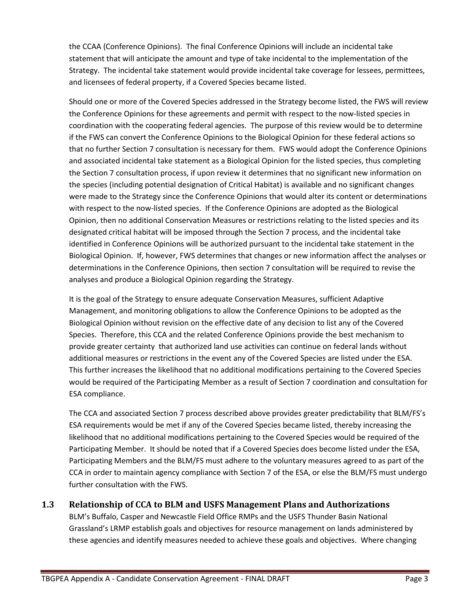the CCAA (Conference Opinions). The final Conference Opinions will include an incidental take statement that will anticipate the amount and type of take incidental to the implementation of the Strategy. The incidental take statement would provide incidental take coverage for lessees, permittees, and licensees of federal property, if a Covered Species became listed.

Should one or more of the Covered Species addressed in the Strategy become listed, the FWS will review the Conference Opinions for these agreements and permit with respect to the now-listed species in coordination with the cooperating federal agencies. The purpose of this review would be to determine if the FWS can convert the Conference Opinions to the Biological Opinion for these federal actions so that no further Section 7 consultation is necessary for them. FWS would adopt the Conference Opinions and associated incidental take statement as a Biological Opinion for the listed species, thus completing the Section 7 consultation process, if upon review it determines that no significant new information on the species (including potential designation of Critical Habitat) is available and no significant changes were made to the Strategy since the Conference Opinions that would alter its content or determinations with respect to the now-listed species. If the Conference Opinions are adopted as the Biological Opinion, then no additional Conservation Measures or restrictions relating to the listed species and its designated critical habitat will be imposed through the Section 7 process, and the incidental take identified in Conference Opinions will be authorized pursuant to the incidental take statement in the Biological Opinion. If, however, FWS determines that changes or new information affect the analyses or determinations in the Conference Opinions, then section 7 consultation will be required to revise the analyses and produce a Biological Opinion regarding the Strategy.

It is the goal of the Strategy to ensure adequate Conservation Measures, sufficient Adaptive Management, and monitoring obligations to allow the Conference Opinions to be adopted as the Biological Opinion without revision on the effective date of any decision to list any of the Covered Species. Therefore, this CCA and the related Conference Opinions provide the best mechanism to provide greater certainty that authorized land use activities can continue on federal lands without additional measures or restrictions in the event any of the Covered Species are listed under the ESA. This further increases the likelihood that no additional modifications pertaining to the Covered Species would be required of the Participating Member as a result of Section 7 coordination and consultation for ESA compliance.

The CCA and associated Section 7 process described above provides greater predictability that BLM/FS's ESA requirements would be met if any of the Covered Species became listed, thereby increasing the likelihood that no additional modifications pertaining to the Covered Species would be required of the Participating Member. It should be noted that if a Covered Species does become listed under the ESA, Participating Members and the BLM/FS must adhere to the voluntary measures agreed to as part of the CCA in order to maintain agency compliance with Section 7 of the ESA, or else the BLM/FS must undergo further consultation with the FWS.

#### **1.3 Relationship of CCA to BLM and USFS Management Plans and Authorizations**

<span id="page-3-0"></span>BLM's Buffalo, Casper and Newcastle Field Office RMPs and the USFS Thunder Basin National Grassland's LRMP establish goals and objectives for resource management on lands administered by these agencies and identify measures needed to achieve these goals and objectives. Where changing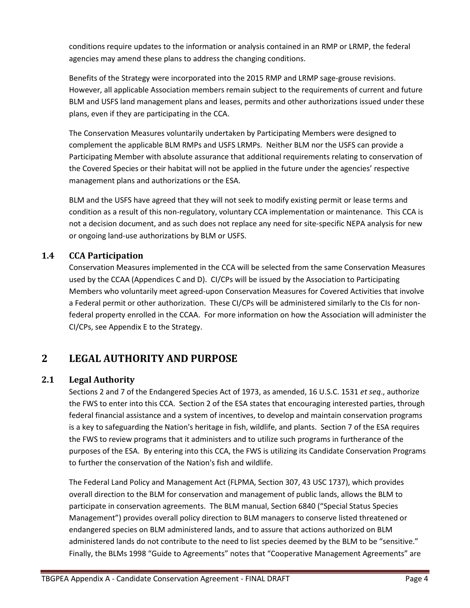conditions require updates to the information or analysis contained in an RMP or LRMP, the federal agencies may amend these plans to address the changing conditions.

Benefits of the Strategy were incorporated into the 2015 RMP and LRMP sage-grouse revisions. However, all applicable Association members remain subject to the requirements of current and future BLM and USFS land management plans and leases, permits and other authorizations issued under these plans, even if they are participating in the CCA.

The Conservation Measures voluntarily undertaken by Participating Members were designed to complement the applicable BLM RMPs and USFS LRMPs. Neither BLM nor the USFS can provide a Participating Member with absolute assurance that additional requirements relating to conservation of the Covered Species or their habitat will not be applied in the future under the agencies' respective management plans and authorizations or the ESA.

BLM and the USFS have agreed that they will not seek to modify existing permit or lease terms and condition as a result of this non-regulatory, voluntary CCA implementation or maintenance. This CCA is not a decision document, and as such does not replace any need for site-specific NEPA analysis for new or ongoing land-use authorizations by BLM or USFS.

#### **1.4 CCA Participation**

<span id="page-4-0"></span>Conservation Measures implemented in the CCA will be selected from the same Conservation Measures used by the CCAA (Appendices C and D). CI/CPs will be issued by the Association to Participating Members who voluntarily meet agreed-upon Conservation Measures for Covered Activities that involve a Federal permit or other authorization. These CI/CPs will be administered similarly to the CIs for nonfederal property enrolled in the CCAA. For more information on how the Association will administer the CI/CPs, see Appendix E to the Strategy.

# <span id="page-4-1"></span>**2 LEGAL AUTHORITY AND PURPOSE**

#### <span id="page-4-2"></span>**2.1 Legal Authority**

Sections 2 and 7 of the Endangered Species Act of 1973, as amended, 16 U.S.C. 1531 *et seq*., authorize the FWS to enter into this CCA. Section 2 of the ESA states that encouraging interested parties, through federal financial assistance and a system of incentives, to develop and maintain conservation programs is a key to safeguarding the Nation's heritage in fish, wildlife, and plants. Section 7 of the ESA requires the FWS to review programs that it administers and to utilize such programs in furtherance of the purposes of the ESA. By entering into this CCA, the FWS is utilizing its Candidate Conservation Programs to further the conservation of the Nation's fish and wildlife.

The Federal Land Policy and Management Act (FLPMA, Section 307, 43 USC 1737), which provides overall direction to the BLM for conservation and management of public lands, allows the BLM to participate in conservation agreements. The BLM manual, Section 6840 ("Special Status Species Management") provides overall policy direction to BLM managers to conserve listed threatened or endangered species on BLM administered lands, and to assure that actions authorized on BLM administered lands do not contribute to the need to list species deemed by the BLM to be "sensitive." Finally, the BLMs 1998 "Guide to Agreements" notes that "Cooperative Management Agreements" are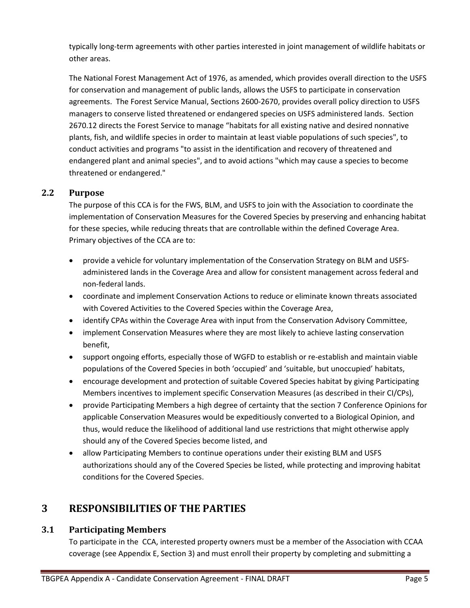typically long-term agreements with other parties interested in joint management of wildlife habitats or other areas.

The National Forest Management Act of 1976, as amended, which provides overall direction to the USFS for conservation and management of public lands, allows the USFS to participate in conservation agreements. The Forest Service Manual, Sections 2600-2670, provides overall policy direction to USFS managers to conserve listed threatened or endangered species on USFS administered lands. Section 2670.12 directs the Forest Service to manage "habitats for all existing native and desired nonnative plants, fish, and wildlife species in order to maintain at least viable populations of such species", to conduct activities and programs "to assist in the identification and recovery of threatened and endangered plant and animal species", and to avoid actions "which may cause a species to become threatened or endangered."

#### <span id="page-5-0"></span>**2.2 Purpose**

The purpose of this CCA is for the FWS, BLM, and USFS to join with the Association to coordinate the implementation of Conservation Measures for the Covered Species by preserving and enhancing habitat for these species, while reducing threats that are controllable within the defined Coverage Area. Primary objectives of the CCA are to:

- provide a vehicle for voluntary implementation of the Conservation Strategy on BLM and USFSadministered lands in the Coverage Area and allow for consistent management across federal and non-federal lands.
- coordinate and implement Conservation Actions to reduce or eliminate known threats associated with Covered Activities to the Covered Species within the Coverage Area,
- identify CPAs within the Coverage Area with input from the Conservation Advisory Committee,
- implement Conservation Measures where they are most likely to achieve lasting conservation benefit,
- support ongoing efforts, especially those of WGFD to establish or re-establish and maintain viable populations of the Covered Species in both 'occupied' and 'suitable, but unoccupied' habitats,
- encourage development and protection of suitable Covered Species habitat by giving Participating Members incentives to implement specific Conservation Measures (as described in their CI/CPs),
- provide Participating Members a high degree of certainty that the section 7 Conference Opinions for applicable Conservation Measures would be expeditiously converted to a Biological Opinion, and thus, would reduce the likelihood of additional land use restrictions that might otherwise apply should any of the Covered Species become listed, and
- allow Participating Members to continue operations under their existing BLM and USFS authorizations should any of the Covered Species be listed, while protecting and improving habitat conditions for the Covered Species.

# <span id="page-5-1"></span>**3 RESPONSIBILITIES OF THE PARTIES**

#### **3.1 Participating Members**

<span id="page-5-2"></span>To participate in the CCA, interested property owners must be a member of the Association with CCAA coverage (see Appendix E, Section 3) and must enroll their property by completing and submitting a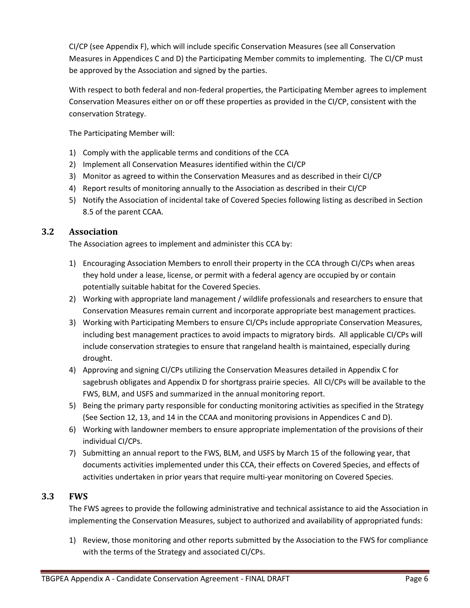CI/CP (see Appendix F), which will include specific Conservation Measures (see all Conservation Measures in Appendices C and D) the Participating Member commits to implementing. The CI/CP must be approved by the Association and signed by the parties.

With respect to both federal and non-federal properties, the Participating Member agrees to implement Conservation Measures either on or off these properties as provided in the CI/CP, consistent with the conservation Strategy.

The Participating Member will:

- 1) Comply with the applicable terms and conditions of the CCA
- 2) Implement all Conservation Measures identified within the CI/CP
- 3) Monitor as agreed to within the Conservation Measures and as described in their CI/CP
- 4) Report results of monitoring annually to the Association as described in their CI/CP
- 5) Notify the Association of incidental take of Covered Species following listing as described in Section 8.5 of the parent CCAA.

#### **3.2 Association**

<span id="page-6-0"></span>The Association agrees to implement and administer this CCA by:

- 1) Encouraging Association Members to enroll their property in the CCA through CI/CPs when areas they hold under a lease, license, or permit with a federal agency are occupied by or contain potentially suitable habitat for the Covered Species.
- 2) Working with appropriate land management / wildlife professionals and researchers to ensure that Conservation Measures remain current and incorporate appropriate best management practices.
- 3) Working with Participating Members to ensure CI/CPs include appropriate Conservation Measures, including best management practices to avoid impacts to migratory birds. All applicable CI/CPs will include conservation strategies to ensure that rangeland health is maintained, especially during drought.
- 4) Approving and signing CI/CPs utilizing the Conservation Measures detailed in Appendix C for sagebrush obligates and Appendix D for shortgrass prairie species. All CI/CPs will be available to the FWS, BLM, and USFS and summarized in the annual monitoring report.
- 5) Being the primary party responsible for conducting monitoring activities as specified in the Strategy (See Section 12, 13, and 14 in the CCAA and monitoring provisions in Appendices C and D).
- 6) Working with landowner members to ensure appropriate implementation of the provisions of their individual CI/CPs.
- 7) Submitting an annual report to the FWS, BLM, and USFS by March 15 of the following year, that documents activities implemented under this CCA, their effects on Covered Species, and effects of activities undertaken in prior years that require multi-year monitoring on Covered Species.

#### **3.3 FWS**

<span id="page-6-1"></span>The FWS agrees to provide the following administrative and technical assistance to aid the Association in implementing the Conservation Measures, subject to authorized and availability of appropriated funds:

1) Review, those monitoring and other reports submitted by the Association to the FWS for compliance with the terms of the Strategy and associated CI/CPs.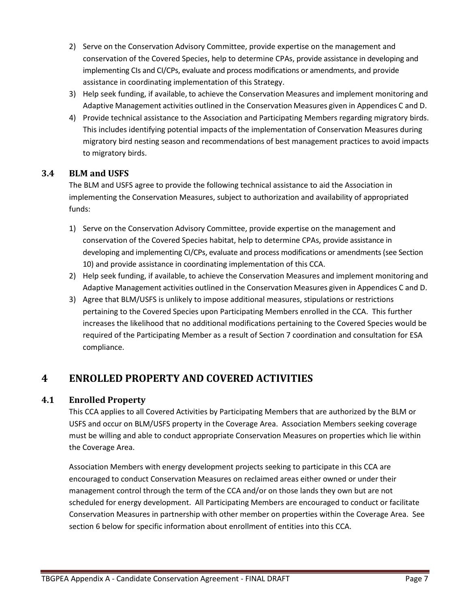- 2) Serve on the Conservation Advisory Committee, provide expertise on the management and conservation of the Covered Species, help to determine CPAs, provide assistance in developing and implementing CIs and CI/CPs, evaluate and process modifications or amendments, and provide assistance in coordinating implementation of this Strategy.
- 3) Help seek funding, if available, to achieve the Conservation Measures and implement monitoring and Adaptive Management activities outlined in the Conservation Measures given in Appendices C and D.
- 4) Provide technical assistance to the Association and Participating Members regarding migratory birds. This includes identifying potential impacts of the implementation of Conservation Measures during migratory bird nesting season and recommendations of best management practices to avoid impacts to migratory birds.

#### **3.4 BLM and USFS**

<span id="page-7-0"></span>The BLM and USFS agree to provide the following technical assistance to aid the Association in implementing the Conservation Measures, subject to authorization and availability of appropriated funds:

- 1) Serve on the Conservation Advisory Committee, provide expertise on the management and conservation of the Covered Species habitat, help to determine CPAs, provide assistance in developing and implementing CI/CPs, evaluate and process modifications or amendments (see Section 10) and provide assistance in coordinating implementation of this CCA.
- 2) Help seek funding, if available, to achieve the Conservation Measures and implement monitoring and Adaptive Management activities outlined in the Conservation Measures given in Appendices C and D.
- 3) Agree that BLM/USFS is unlikely to impose additional measures, stipulations or restrictions pertaining to the Covered Species upon Participating Members enrolled in the CCA. This further increases the likelihood that no additional modifications pertaining to the Covered Species would be required of the Participating Member as a result of Section 7 coordination and consultation for ESA compliance.

# <span id="page-7-1"></span>**4 ENROLLED PROPERTY AND COVERED ACTIVITIES**

#### **4.1 Enrolled Property**

<span id="page-7-2"></span>This CCA applies to all Covered Activities by Participating Members that are authorized by the BLM or USFS and occur on BLM/USFS property in the Coverage Area. Association Members seeking coverage must be willing and able to conduct appropriate Conservation Measures on properties which lie within the Coverage Area.

Association Members with energy development projects seeking to participate in this CCA are encouraged to conduct Conservation Measures on reclaimed areas either owned or under their management control through the term of the CCA and/or on those lands they own but are not scheduled for energy development. All Participating Members are encouraged to conduct or facilitate Conservation Measures in partnership with other member on properties within the Coverage Area. See section 6 below for specific information about enrollment of entities into this CCA.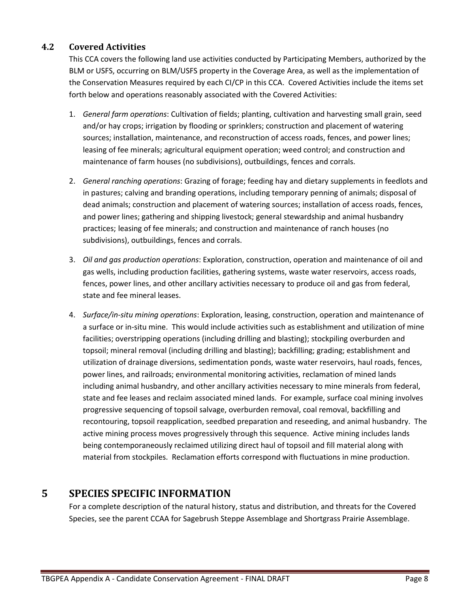#### **4.2 Covered Activities**

<span id="page-8-0"></span>This CCA covers the following land use activities conducted by Participating Members, authorized by the BLM or USFS, occurring on BLM/USFS property in the Coverage Area, as well as the implementation of the Conservation Measures required by each CI/CP in this CCA. Covered Activities include the items set forth below and operations reasonably associated with the Covered Activities:

- 1. *General farm operations*: Cultivation of fields; planting, cultivation and harvesting small grain, seed and/or hay crops; irrigation by flooding or sprinklers; construction and placement of watering sources; installation, maintenance, and reconstruction of access roads, fences, and power lines; leasing of fee minerals; agricultural equipment operation; weed control; and construction and maintenance of farm houses (no subdivisions), outbuildings, fences and corrals.
- 2. *General ranching operations*: Grazing of forage; feeding hay and dietary supplements in feedlots and in pastures; calving and branding operations, including temporary penning of animals; disposal of dead animals; construction and placement of watering sources; installation of access roads, fences, and power lines; gathering and shipping livestock; general stewardship and animal husbandry practices; leasing of fee minerals; and construction and maintenance of ranch houses (no subdivisions), outbuildings, fences and corrals.
- 3. *Oil and gas production operations*: Exploration, construction, operation and maintenance of oil and gas wells, including production facilities, gathering systems, waste water reservoirs, access roads, fences, power lines, and other ancillary activities necessary to produce oil and gas from federal, state and fee mineral leases.
- 4. *Surface/in-situ mining operations*: Exploration, leasing, construction, operation and maintenance of a surface or in-situ mine. This would include activities such as establishment and utilization of mine facilities; overstripping operations (including drilling and blasting); stockpiling overburden and topsoil; mineral removal (including drilling and blasting); backfilling; grading; establishment and utilization of drainage diversions, sedimentation ponds, waste water reservoirs, haul roads, fences, power lines, and railroads; environmental monitoring activities, reclamation of mined lands including animal husbandry, and other ancillary activities necessary to mine minerals from federal, state and fee leases and reclaim associated mined lands. For example, surface coal mining involves progressive sequencing of topsoil salvage, overburden removal, coal removal, backfilling and recontouring, topsoil reapplication, seedbed preparation and reseeding, and animal husbandry. The active mining process moves progressively through this sequence. Active mining includes lands being contemporaneously reclaimed utilizing direct haul of topsoil and fill material along with material from stockpiles. Reclamation efforts correspond with fluctuations in mine production.

# <span id="page-8-1"></span>**5 SPECIES SPECIFIC INFORMATION**

For a complete description of the natural history, status and distribution, and threats for the Covered Species, see the parent CCAA for Sagebrush Steppe Assemblage and Shortgrass Prairie Assemblage.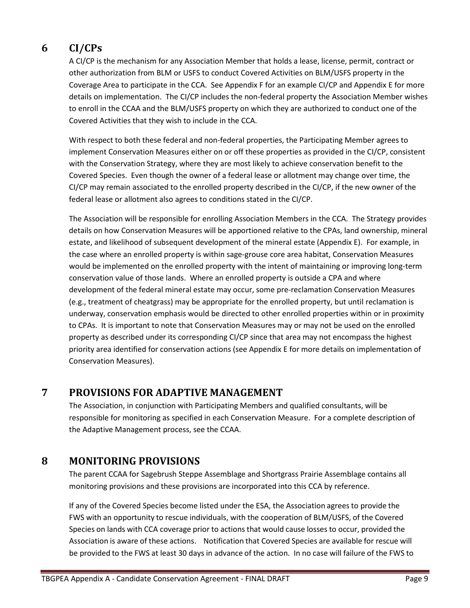# **6 CI/CPs**

<span id="page-9-0"></span>A CI/CP is the mechanism for any Association Member that holds a lease, license, permit, contract or other authorization from BLM or USFS to conduct Covered Activities on BLM/USFS property in the Coverage Area to participate in the CCA. See Appendix F for an example CI/CP and Appendix E for more details on implementation. The CI/CP includes the non-federal property the Association Member wishes to enroll in the CCAA and the BLM/USFS property on which they are authorized to conduct one of the Covered Activities that they wish to include in the CCA.

With respect to both these federal and non-federal properties, the Participating Member agrees to implement Conservation Measures either on or off these properties as provided in the CI/CP, consistent with the Conservation Strategy, where they are most likely to achieve conservation benefit to the Covered Species. Even though the owner of a federal lease or allotment may change over time, the CI/CP may remain associated to the enrolled property described in the CI/CP, if the new owner of the federal lease or allotment also agrees to conditions stated in the CI/CP.

The Association will be responsible for enrolling Association Members in the CCA. The Strategy provides details on how Conservation Measures will be apportioned relative to the CPAs, land ownership, mineral estate, and likelihood of subsequent development of the mineral estate (Appendix E). For example, in the case where an enrolled property is within sage-grouse core area habitat, Conservation Measures would be implemented on the enrolled property with the intent of maintaining or improving long-term conservation value of those lands. Where an enrolled property is outside a CPA and where development of the federal mineral estate may occur, some pre-reclamation Conservation Measures (e.g., treatment of cheatgrass) may be appropriate for the enrolled property, but until reclamation is underway, conservation emphasis would be directed to other enrolled properties within or in proximity to CPAs. It is important to note that Conservation Measures may or may not be used on the enrolled property as described under its corresponding CI/CP since that area may not encompass the highest priority area identified for conservation actions (see Appendix E for more details on implementation of Conservation Measures).

## **7 PROVISIONS FOR ADAPTIVE MANAGEMENT**

<span id="page-9-1"></span>The Association, in conjunction with Participating Members and qualified consultants, will be responsible for monitoring as specified in each Conservation Measure. For a complete description of the Adaptive Management process, see the CCAA.

# **8 MONITORING PROVISIONS**

<span id="page-9-2"></span>The parent CCAA for Sagebrush Steppe Assemblage and Shortgrass Prairie Assemblage contains all monitoring provisions and these provisions are incorporated into this CCA by reference.

If any of the Covered Species become listed under the ESA, the Association agrees to provide the FWS with an opportunity to rescue individuals, with the cooperation of BLM/USFS, of the Covered Species on lands with CCA coverage prior to actions that would cause losses to occur, provided the Association is aware of these actions. Notification that Covered Species are available for rescue will be provided to the FWS at least 30 days in advance of the action. In no case will failure of the FWS to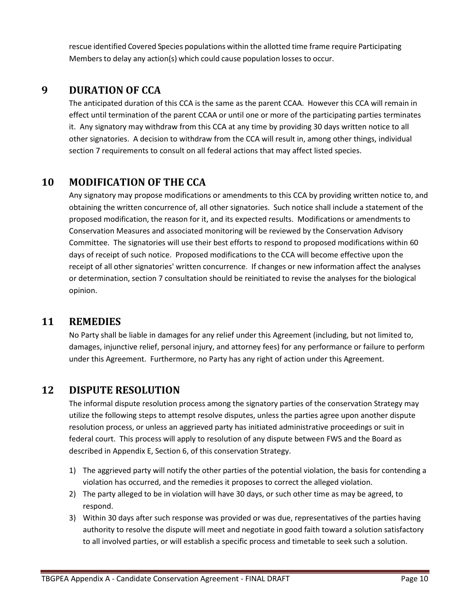<span id="page-10-0"></span>rescue identified Covered Species populations within the allotted time frame require Participating Members to delay any action(s) which could cause population losses to occur.

# **9 DURATION OF CCA**

The anticipated duration of this CCA is the same as the parent CCAA. However this CCA will remain in effect until termination of the parent CCAA or until one or more of the participating parties terminates it. Any signatory may withdraw from this CCA at any time by providing 30 days written notice to all other signatories. A decision to withdraw from the CCA will result in, among other things, individual section 7 requirements to consult on all federal actions that may affect listed species.

# **10 MODIFICATION OF THE CCA**

<span id="page-10-1"></span>Any signatory may propose modifications or amendments to this CCA by providing written notice to, and obtaining the written concurrence of, all other signatories. Such notice shall include a statement of the proposed modification, the reason for it, and its expected results. Modifications or amendments to Conservation Measures and associated monitoring will be reviewed by the Conservation Advisory Committee. The signatories will use their best efforts to respond to proposed modifications within 60 days of receipt of such notice. Proposed modifications to the CCA will become effective upon the receipt of all other signatories' written concurrence. If changes or new information affect the analyses or determination, section 7 consultation should be reinitiated to revise the analyses for the biological opinion.

# **11 REMEDIES**

<span id="page-10-2"></span>No Party shall be liable in damages for any relief under this Agreement (including, but not limited to, damages, injunctive relief, personal injury, and attorney fees) for any performance or failure to perform under this Agreement. Furthermore, no Party has any right of action under this Agreement.

# **12 DISPUTE RESOLUTION**

<span id="page-10-3"></span>The informal dispute resolution process among the signatory parties of the conservation Strategy may utilize the following steps to attempt resolve disputes, unless the parties agree upon another dispute resolution process, or unless an aggrieved party has initiated administrative proceedings or suit in federal court. This process will apply to resolution of any dispute between FWS and the Board as described in Appendix E, Section 6, of this conservation Strategy.

- 1) The aggrieved party will notify the other parties of the potential violation, the basis for contending a violation has occurred, and the remedies it proposes to correct the alleged violation.
- 2) The party alleged to be in violation will have 30 days, or such other time as may be agreed, to respond.
- 3) Within 30 days after such response was provided or was due, representatives of the parties having authority to resolve the dispute will meet and negotiate in good faith toward a solution satisfactory to all involved parties, or will establish a specific process and timetable to seek such a solution.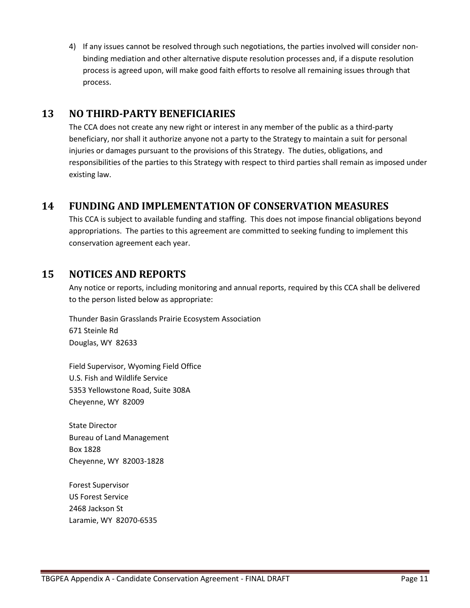4) If any issues cannot be resolved through such negotiations, the parties involved will consider nonbinding mediation and other alternative dispute resolution processes and, if a dispute resolution process is agreed upon, will make good faith efforts to resolve all remaining issues through that process.

## **13 NO THIRD-PARTY BENEFICIARIES**

<span id="page-11-0"></span>The CCA does not create any new right or interest in any member of the public as a third-party beneficiary, nor shall it authorize anyone not a party to the Strategy to maintain a suit for personal injuries or damages pursuant to the provisions of this Strategy. The duties, obligations, and responsibilities of the parties to this Strategy with respect to third parties shall remain as imposed under existing law.

# **14 FUNDING AND IMPLEMENTATION OF CONSERVATION MEASURES**

<span id="page-11-1"></span>This CCA is subject to available funding and staffing. This does not impose financial obligations beyond appropriations. The parties to this agreement are committed to seeking funding to implement this conservation agreement each year.

## **15 NOTICES AND REPORTS**

<span id="page-11-2"></span>Any notice or reports, including monitoring and annual reports, required by this CCA shall be delivered to the person listed below as appropriate:

Thunder Basin Grasslands Prairie Ecosystem Association 671 Steinle Rd Douglas, WY 82633

Field Supervisor, Wyoming Field Office U.S. Fish and Wildlife Service 5353 Yellowstone Road, Suite 308A Cheyenne, WY 82009

State Director Bureau of Land Management Box 1828 Cheyenne, WY 82003-1828

Forest Supervisor US Forest Service 2468 Jackson St Laramie, WY 82070-6535